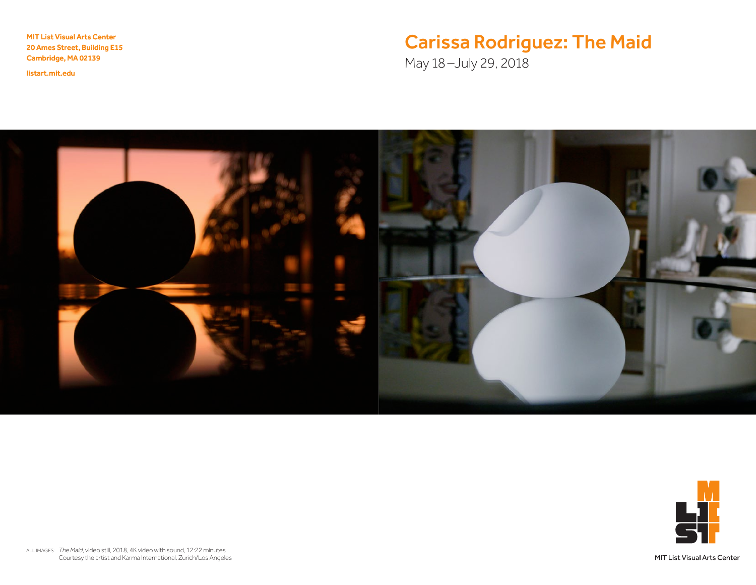MIT List Visual Arts Center 20 Ames Street, Building E15 Cambridge, MA 02139

<listart.mit.edu>

# Carissa Rodriguez: The Maid

May 18–July 29, 2018